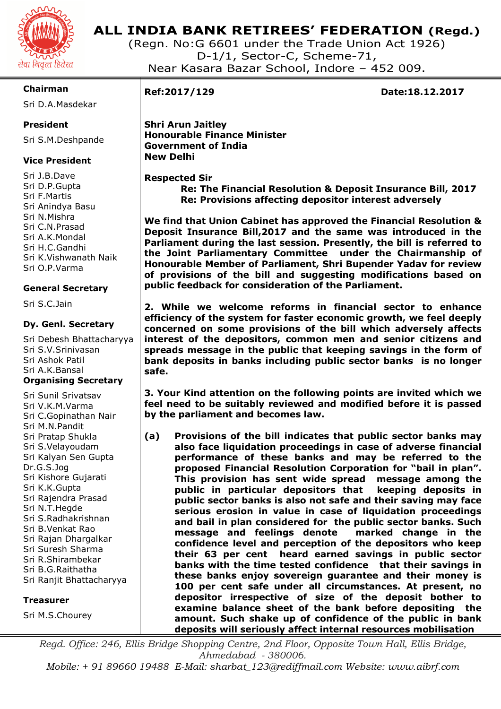

## **ALL INDIA BANK RETIREES' FEDERATION (Regd.)**

(Regn. No:G 6601 under the Trade Union Act 1926) D-1/1, Sector-C, Scheme-71, Near Kasara Bazar School, Indore – 452 009.

#### **Chairman**

Sri D.A.Masdekar

#### **President**

Sri S.M.Deshpande

### **Vice President**

Sri J.B.Dave Sri D.P.Gupta Sri F.Martis Sri Anindya Basu Sri N.Mishra Sri C.N.Prasad Sri A.K.Mondal Sri H.C.Gandhi Sri K.Vishwanath Naik Sri O.P.Varma

#### **General Secretary**

Sri S.C.Jain

#### **Dy. Genl. Secretary**

Sri Debesh Bhattacharyya Sri S.V.Srinivasan Sri Ashok Patil Sri A.K.Bansal **Organising Secretary** 

Sri Sunil Srivatsav Sri V.K.M.Varma Sri C.Gopinathan Nair Sri M.N.Pandit Sri Pratap Shukla Sri S.Velayoudam Sri Kalyan Sen Gupta Dr.G.S.Jog Sri Kishore Gujarati Sri K.K.Gupta Sri Rajendra Prasad Sri N.T.Hegde Sri S.Radhakrishnan Sri B.Venkat Rao Sri Rajan Dhargalkar Sri Suresh Sharma Sri R.Shirambekar Sri B.G.Raithatha Sri Ranjit Bhattacharyya

#### **Treasurer**

Sri M.S.Chourey

I

**Ref:2017/129 Date:18.12.2017** 

**Shri Arun Jaitley Honourable Finance Minister Government of India New Delhi** 

## **Respected Sir**

 **Re: The Financial Resolution & Deposit Insurance Bill, 2017 Re: Provisions affecting depositor interest adversely** 

**We find that Union Cabinet has approved the Financial Resolution & Deposit Insurance Bill,2017 and the same was introduced in the Parliament during the last session. Presently, the bill is referred to the Joint Parliamentary Committee under the Chairmanship of Honourable Member of Parliament, Shri Bupender Yadav for review of provisions of the bill and suggesting modifications based on public feedback for consideration of the Parliament.** 

**2. While we welcome reforms in financial sector to enhance efficiency of the system for faster economic growth, we feel deeply concerned on some provisions of the bill which adversely affects interest of the depositors, common men and senior citizens and spreads message in the public that keeping savings in the form of bank deposits in banks including public sector banks is no longer safe.** 

**3. Your Kind attention on the following points are invited which we feel need to be suitably reviewed and modified before it is passed by the parliament and becomes law.** 

**(a) Provisions of the bill indicates that public sector banks may also face liquidation proceedings in case of adverse financial performance of these banks and may be referred to the proposed Financial Resolution Corporation for "bail in plan". This provision has sent wide spread message among the public in particular depositors that keeping deposits in public sector banks is also not safe and their saving may face serious erosion in value in case of liquidation proceedings and bail in plan considered for the public sector banks. Such message and feelings denote marked change in the confidence level and perception of the depositors who keep their 63 per cent heard earned savings in public sector banks with the time tested confidence that their savings in these banks enjoy sovereign guarantee and their money is 100 per cent safe under all circumstances. At present, no depositor irrespective of size of the deposit bother to examine balance sheet of the bank before depositing the amount. Such shake up of confidence of the public in bank deposits will seriously affect internal resources mobilisation** 

*Regd. Office: 246, Ellis Bridge Shopping Centre, 2nd Floor, Opposite Town Hall, Ellis Bridge, Ahmedabad - 380006.* 

*Mobile: + 91 89660 19488 E-Mail: sharbat\_123@rediffmail.com Website: www.aibrf.com*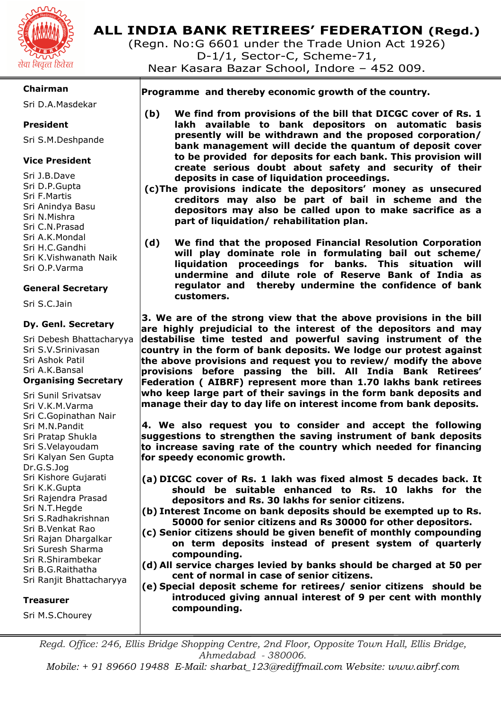

# **ALL INDIA BANK RETIREES' FEDERATION (Regd.)**

(Regn. No:G 6601 under the Trade Union Act 1926) D-1/1, Sector-C, Scheme-71, Near Kasara Bazar School, Indore – 452 009.

#### **Chairman**

Sri D.A.Masdekar

#### **President**

Sri S.M.Deshpande

#### **Vice President**

Sri J.B.Dave Sri D.P.Gupta Sri F.Martis Sri Anindya Basu Sri N.Mishra Sri C.N.Prasad Sri A.K.Mondal Sri H.C.Gandhi Sri K.Vishwanath Naik Sri O.P.Varma

#### **General Secretary**

Sri S.C.Jain

#### **Dy. Genl. Secretary**

Sri Debesh Bhattacharyya Sri S.V.Srinivasan Sri Ashok Patil Sri A.K.Bansal **Organising Secretary** 

Sri Sunil Srivatsav Sri V.K.M.Varma Sri C.Gopinathan Nair Sri M.N.Pandit Sri Pratap Shukla Sri S.Velayoudam Sri Kalyan Sen Gupta Dr.G.S.Jog Sri Kishore Gujarati Sri K.K.Gupta Sri Rajendra Prasad Sri N.T.Hegde Sri S.Radhakrishnan Sri B.Venkat Rao Sri Rajan Dhargalkar Sri Suresh Sharma Sri R.Shirambekar Sri B.G.Raithatha Sri Ranjit Bhattacharyya

#### **Treasurer**

Sri M.S.Chourey

 **Programme and thereby economic growth of the country.** 

- **(b) We find from provisions of the bill that DICGC cover of Rs. 1 lakh available to bank depositors on automatic basis presently will be withdrawn and the proposed corporation/ bank management will decide the quantum of deposit cover to be provided for deposits for each bank. This provision will create serious doubt about safety and security of their deposits in case of liquidation proceedings.**
- **(c)The provisions indicate the depositors' money as unsecured creditors may also be part of bail in scheme and the depositors may also be called upon to make sacrifice as a part of liquidation/ rehabilitation plan.**
- **(d) We find that the proposed Financial Resolution Corporation will play dominate role in formulating bail out scheme/ liquidation proceedings for banks. This situation will undermine and dilute role of Reserve Bank of India as regulator and thereby undermine the confidence of bank customers.**

**3. We are of the strong view that the above provisions in the bill are highly prejudicial to the interest of the depositors and may destabilise time tested and powerful saving instrument of the country in the form of bank deposits. We lodge our protest against the above provisions and request you to review/ modify the above provisions before passing the bill. All India Bank Retirees' Federation ( AIBRF) represent more than 1.70 lakhs bank retirees who keep large part of their savings in the form bank deposits and manage their day to day life on interest income from bank deposits.** 

**4. We also request you to consider and accept the following suggestions to strengthen the saving instrument of bank deposits to increase saving rate of the country which needed for financing for speedy economic growth.** 

- **(a) DICGC cover of Rs. 1 lakh was fixed almost 5 decades back. It should be suitable enhanced to Rs. 10 lakhs for the depositors and Rs. 30 lakhs for senior citizens.**
- **(b) Interest Income on bank deposits should be exempted up to Rs. 50000 for senior citizens and Rs 30000 for other depositors.**
- **(c) Senior citizens should be given benefit of monthly compounding on term deposits instead of present system of quarterly compounding.**
- **(d) All service charges levied by banks should be charged at 50 per cent of normal in case of senior citizens.**
- **(e) Special deposit scheme for retirees/ senior citizens should be introduced giving annual interest of 9 per cent with monthly compounding.**

*Regd. Office: 246, Ellis Bridge Shopping Centre, 2nd Floor, Opposite Town Hall, Ellis Bridge, Ahmedabad - 380006.* 

*Mobile: + 91 89660 19488 E-Mail: sharbat\_123@rediffmail.com Website: www.aibrf.com*